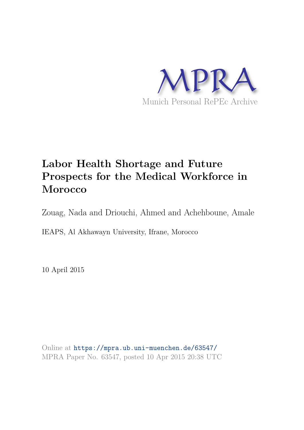

# **Labor Health Shortage and Future Prospects for the Medical Workforce in Morocco**

Zouag, Nada and Driouchi, Ahmed and Achehboune, Amale

IEAPS, Al Akhawayn University, Ifrane, Morocco

10 April 2015

Online at https://mpra.ub.uni-muenchen.de/63547/ MPRA Paper No. 63547, posted 10 Apr 2015 20:38 UTC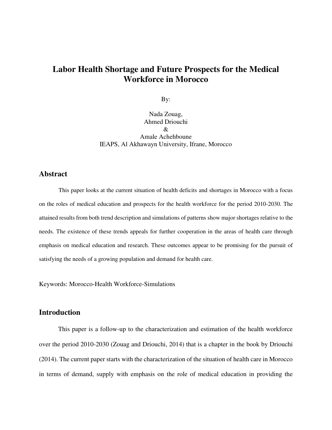## **Labor Health Shortage and Future Prospects for the Medical Workforce in Morocco**

By:

Nada Zouag, Ahmed Driouchi  $\mathcal{R}_{\mathcal{L}}$ Amale Achehboune IEAPS, Al Akhawayn University, Ifrane, Morocco

### **Abstract**

This paper looks at the current situation of health deficits and shortages in Morocco with a focus on the roles of medical education and prospects for the health workforce for the period 2010-2030. The attained results from both trend description and simulations of patterns show major shortages relative to the needs. The existence of these trends appeals for further cooperation in the areas of health care through emphasis on medical education and research. These outcomes appear to be promising for the pursuit of satisfying the needs of a growing population and demand for health care.

Keywords: Morocco-Health Workforce-Simulations

### **Introduction**

This paper is a follow-up to the characterization and estimation of the health workforce over the period 2010-2030 (Zouag and Driouchi, 2014) that is a chapter in the book by Driouchi (2014). The current paper starts with the characterization of the situation of health care in Morocco in terms of demand, supply with emphasis on the role of medical education in providing the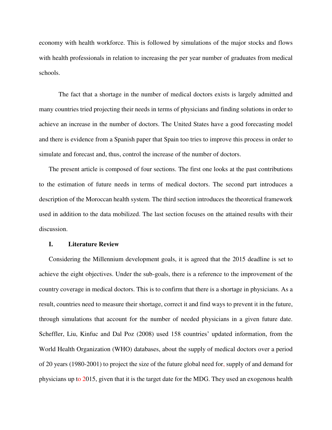economy with health workforce. This is followed by simulations of the major stocks and flows with health professionals in relation to increasing the per year number of graduates from medical schools.

The fact that a shortage in the number of medical doctors exists is largely admitted and many countries tried projecting their needs in terms of physicians and finding solutions in order to achieve an increase in the number of doctors. The United States have a good forecasting model and there is evidence from a Spanish paper that Spain too tries to improve this process in order to simulate and forecast and, thus, control the increase of the number of doctors.

The present article is composed of four sections. The first one looks at the past contributions to the estimation of future needs in terms of medical doctors. The second part introduces a description of the Moroccan health system. The third section introduces the theoretical framework used in addition to the data mobilized. The last section focuses on the attained results with their discussion.

#### **I. Literature Review**

Considering the Millennium development goals, it is agreed that the 2015 deadline is set to achieve the eight objectives. Under the sub-goals, there is a reference to the improvement of the country coverage in medical doctors. This is to confirm that there is a shortage in physicians. As a result, countries need to measure their shortage, correct it and find ways to prevent it in the future, through simulations that account for the number of needed physicians in a given future date. Scheffler, Liu, Kinfuc and Dal Poz (2008) used 158 countries' updated information, from the World Health Organization (WHO) databases, about the supply of medical doctors over a period of 20 years (1980-2001) to project the size of the future global need for, supply of and demand for physicians up to 2015, given that it is the target date for the MDG. They used an exogenous health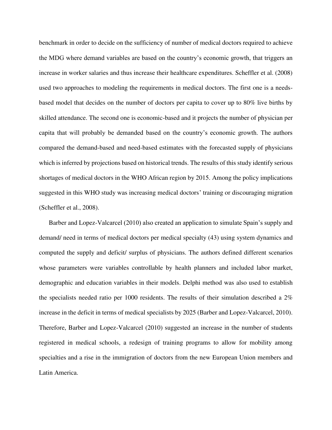benchmark in order to decide on the sufficiency of number of medical doctors required to achieve the MDG where demand variables are based on the country's economic growth, that triggers an increase in worker salaries and thus increase their healthcare expenditures. Scheffler et al. (2008) used two approaches to modeling the requirements in medical doctors. The first one is a needsbased model that decides on the number of doctors per capita to cover up to 80% live births by skilled attendance. The second one is economic-based and it projects the number of physician per capita that will probably be demanded based on the country's economic growth. The authors compared the demand-based and need-based estimates with the forecasted supply of physicians which is inferred by projections based on historical trends. The results of this study identify serious shortages of medical doctors in the WHO African region by 2015. Among the policy implications suggested in this WHO study was increasing medical doctors' training or discouraging migration (Scheffler et al., 2008).

Barber and Lopez-Valcarcel (2010) also created an application to simulate Spain's supply and demand/ need in terms of medical doctors per medical specialty (43) using system dynamics and computed the supply and deficit/ surplus of physicians. The authors defined different scenarios whose parameters were variables controllable by health planners and included labor market, demographic and education variables in their models. Delphi method was also used to establish the specialists needed ratio per 1000 residents. The results of their simulation described a 2% increase in the deficit in terms of medical specialists by 2025 (Barber and Lopez-Valcarcel, 2010). Therefore, Barber and Lopez-Valcarcel (2010) suggested an increase in the number of students registered in medical schools, a redesign of training programs to allow for mobility among specialties and a rise in the immigration of doctors from the new European Union members and Latin America.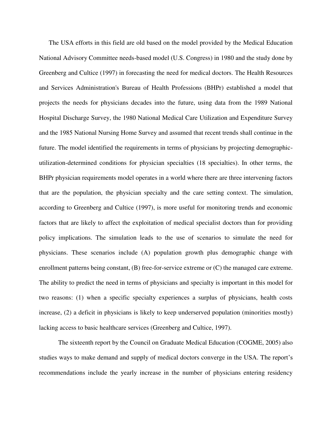The USA efforts in this field are old based on the model provided by the Medical Education National Advisory Committee needs-based model (U.S. Congress) in 1980 and the study done by Greenberg and Cultice (1997) in forecasting the need for medical doctors. The Health Resources and Services Administration's Bureau of Health Professions (BHPr) established a model that projects the needs for physicians decades into the future, using data from the 1989 National Hospital Discharge Survey, the 1980 National Medical Care Utilization and Expenditure Survey and the 1985 National Nursing Home Survey and assumed that recent trends shall continue in the future. The model identified the requirements in terms of physicians by projecting demographicutilization-determined conditions for physician specialties (18 specialties). In other terms, the BHPr physician requirements model operates in a world where there are three intervening factors that are the population, the physician specialty and the care setting context. The simulation, according to Greenberg and Cultice (1997), is more useful for monitoring trends and economic factors that are likely to affect the exploitation of medical specialist doctors than for providing policy implications. The simulation leads to the use of scenarios to simulate the need for physicians. These scenarios include (A) population growth plus demographic change with enrollment patterns being constant, (B) free-for-service extreme or (C) the managed care extreme. The ability to predict the need in terms of physicians and specialty is important in this model for two reasons: (1) when a specific specialty experiences a surplus of physicians, health costs increase, (2) a deficit in physicians is likely to keep underserved population (minorities mostly) lacking access to basic healthcare services (Greenberg and Cultice, 1997).

The sixteenth report by the Council on Graduate Medical Education (COGME, 2005) also studies ways to make demand and supply of medical doctors converge in the USA. The report's recommendations include the yearly increase in the number of physicians entering residency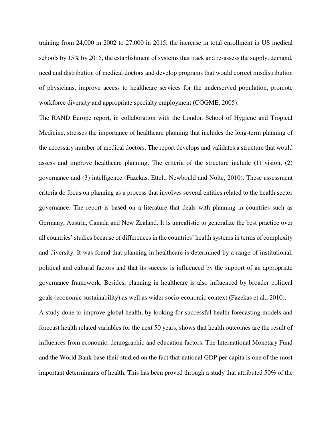training from 24,000 in 2002 to 27,000 in 2015, the increase in total enrollment in US medical schools by 15% by 2015, the establishment of systems that track and re-assess the supply, demand, need and distribution of medical doctors and develop programs that would correct misdistribution of physicians, improve access to healthcare services for the underserved population, promote workforce diversity and appropriate specialty employment (COGME, 2005).

The RAND Europe report, in collaboration with the London School of Hygiene and Tropical Medicine, stresses the importance of healthcare planning that includes the long-term planning of the necessary number of medical doctors. The report develops and validates a structure that would assess and improve healthcare planning. The criteria of the structure include (1) vision, (2) governance and (3) intelligence (Fazekas, Ettelt, Newbould and Nolte, 2010). These assessment criteria do focus on planning as a process that involves several entities related to the health sector governance. The report is based on a literature that deals with planning in countries such as Germany, Austria, Canada and New Zealand. It is unrealistic to generalize the best practice over all countries' studies because of differences in the countries' health systems in terms of complexity and diversity. It was found that planning in healthcare is determined by a range of institutional, political and cultural factors and that its success is influenced by the support of an appropriate governance framework. Besides, planning in healthcare is also influenced by broader political goals (economic sustainability) as well as wider socio-economic context (Fazekas et al., 2010). A study done to improve global health, by looking for successful health forecasting models and forecast health related variables for the next 50 years, shows that health outcomes are the result of influences from economic, demographic and education factors. The International Monetary Fund and the World Bank base their studied on the fact that national GDP per capita is one of the most important determinants of health. This has been proved through a study that attributed 50% of the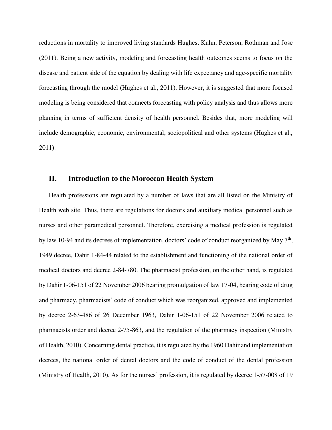reductions in mortality to improved living standards Hughes, Kuhn, Peterson, Rothman and Jose (2011). Being a new activity, modeling and forecasting health outcomes seems to focus on the disease and patient side of the equation by dealing with life expectancy and age-specific mortality forecasting through the model (Hughes et al., 2011). However, it is suggested that more focused modeling is being considered that connects forecasting with policy analysis and thus allows more planning in terms of sufficient density of health personnel. Besides that, more modeling will include demographic, economic, environmental, sociopolitical and other systems (Hughes et al., 2011).

#### **II. Introduction to the Moroccan Health System**

Health professions are regulated by a number of laws that are all listed on the Ministry of Health web site. Thus, there are regulations for doctors and auxiliary medical personnel such as nurses and other paramedical personnel. Therefore, exercising a medical profession is regulated by law 10-94 and its decrees of implementation, doctors' code of conduct reorganized by May  $7<sup>th</sup>$ , 1949 decree, Dahir 1-84-44 related to the establishment and functioning of the national order of medical doctors and decree 2-84-780. The pharmacist profession, on the other hand, is regulated by Dahir 1-06-151 of 22 November 2006 bearing promulgation of law 17-04, bearing code of drug and pharmacy, pharmacists' code of conduct which was reorganized, approved and implemented by decree 2-63-486 of 26 December 1963, Dahir 1-06-151 of 22 November 2006 related to pharmacists order and decree 2-75-863, and the regulation of the pharmacy inspection (Ministry of Health, 2010). Concerning dental practice, it is regulated by the 1960 Dahir and implementation decrees, the national order of dental doctors and the code of conduct of the dental profession (Ministry of Health, 2010). As for the nurses' profession, it is regulated by decree 1-57-008 of 19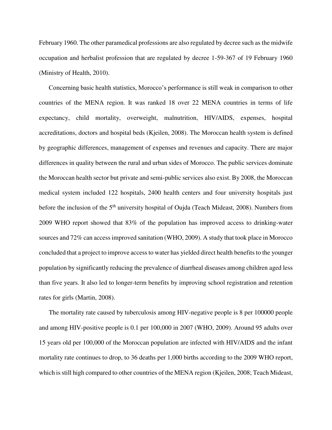February 1960. The other paramedical professions are also regulated by decree such as the midwife occupation and herbalist profession that are regulated by decree 1-59-367 of 19 February 1960 (Ministry of Health, 2010).

Concerning basic health statistics, Morocco's performance is still weak in comparison to other countries of the MENA region. It was ranked 18 over 22 MENA countries in terms of life expectancy, child mortality, overweight, malnutrition, HIV/AIDS, expenses, hospital accreditations, doctors and hospital beds (Kjeilen, 2008). The Moroccan health system is defined by geographic differences, management of expenses and revenues and capacity. There are major differences in quality between the rural and urban sides of Morocco. The public services dominate the Moroccan health sector but private and semi-public services also exist. By 2008, the Moroccan medical system included 122 hospitals, 2400 health centers and four university hospitals just before the inclusion of the 5<sup>th</sup> university hospital of Oujda (Teach Mideast, 2008). Numbers from 2009 WHO report showed that 83% of the population has improved access to drinking-water sources and 72% can access improved sanitation (WHO, 2009). A study that took place in Morocco concluded that a project to improve access to water has yielded direct health benefits to the younger population by significantly reducing the prevalence of diarrheal diseases among children aged less than five years. It also led to longer-term benefits by improving school registration and retention rates for girls (Martin, 2008).

The mortality rate caused by tuberculosis among HIV-negative people is 8 per 100000 people and among HIV-positive people is 0.1 per 100,000 in 2007 (WHO, 2009). Around 95 adults over 15 years old per 100,000 of the Moroccan population are infected with HIV/AIDS and the infant mortality rate continues to drop, to 36 deaths per 1,000 births according to the 2009 WHO report, which is still high compared to other countries of the MENA region (Kjeilen, 2008; Teach Mideast,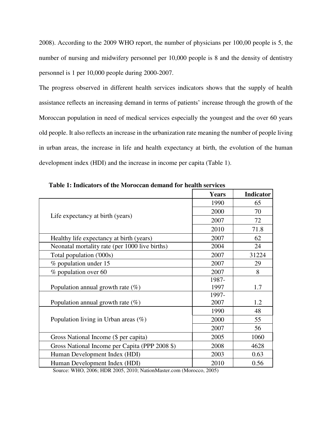2008). According to the 2009 WHO report, the number of physicians per 100,00 people is 5, the number of nursing and midwifery personnel per 10,000 people is 8 and the density of dentistry personnel is 1 per 10,000 people during 2000-2007.

The progress observed in different health services indicators shows that the supply of health assistance reflects an increasing demand in terms of patients' increase through the growth of the Moroccan population in need of medical services especially the youngest and the over 60 years old people. It also reflects an increase in the urbanization rate meaning the number of people living in urban areas, the increase in life and health expectancy at birth, the evolution of the human development index (HDI) and the increase in income per capita (Table 1).

|                                                | <b>Years</b> | <b>Indicator</b> |
|------------------------------------------------|--------------|------------------|
|                                                | 1990         | 65               |
|                                                | 2000         | 70               |
| Life expectancy at birth (years)               | 2007         | 72               |
|                                                | 2010         | 71.8             |
| Healthy life expectancy at birth (years)       | 2007         | 62               |
| Neonatal mortality rate (per 1000 live births) | 2004         | 24               |
| Total population ('000s)                       | 2007         | 31224            |
| % population under 15                          | 2007         | 29               |
| % population over 60                           | 2007         | 8                |
|                                                | 1987-        |                  |
| Population annual growth rate $(\%)$           | 1997         | 1.7              |
|                                                | 1997-        |                  |
| Population annual growth rate $(\%)$           | 2007         | 1.2              |
|                                                | 1990         | 48               |
| Population living in Urban areas $(\%)$        | 2000         | 55               |
|                                                | 2007         | 56               |
| Gross National Income (\$ per capita)          | 2005         | 1060             |
| Gross National Income per Capita (PPP 2008 \$) | 2008         | 4628             |
| Human Development Index (HDI)                  | 2003         | 0.63             |
| Human Development Index (HDI)                  | 2010         | 0.56             |

**Table 1: Indicators of the Moroccan demand for health services** 

Source: WHO, 2006; HDR 2005, 2010; NationMaster.com (Morocco, 2005)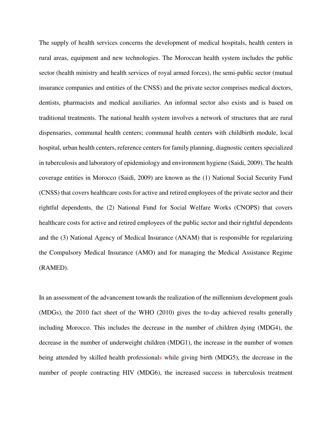The supply of health services concerns the development of medical hospitals, health centers in rural areas, equipment and new technologies. The Moroccan health system includes the public sector (health ministry and health services of royal armed forces), the semi-public sector (mutual insurance companies and entities of the CNSS) and the private sector comprises medical doctors, dentists, pharmacists and medical auxiliaries. An informal sector also exists and is based on traditional treatments. The national health system involves a network of structures that are rural dispensaries, communal health centers; communal health centers with childbirth module, local hospital, urban health centers, reference centers for family planning, diagnostic centers specialized in tuberculosis and laboratory of epidemiology and environment hygiene (Saidi, 2009). The health coverage entities in Morocco (Saidi, 2009) are known as the (1) National Social Security Fund (CNSS) that covers healthcare costs for active and retired employees of the private sector and their rightful dependents, the (2) National Fund for Social Welfare Works (CNOPS) that covers healthcare costs for active and retired employees of the public sector and their rightful dependents and the (3) National Agency of Medical Insurance (ANAM) that is responsible for regularizing the Compulsory Medical Insurance (AMO) and for managing the Medical Assistance Regime (RAMED).

In an assessment of the advancement towards the realization of the millennium development goals (MDGs), the 2010 fact sheet of the WHO (2010) gives the to-day achieved results generally including Morocco. This includes the decrease in the number of children dying (MDG4), the decrease in the number of underweight children (MDG1), the increase in the number of women being attended by skilled health professionals while giving birth (MDG5), the decrease in the number of people contracting HIV (MDG6), the increased success in tuberculosis treatment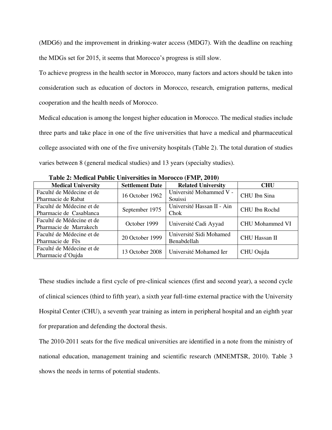(MDG6) and the improvement in drinking-water access (MDG7). With the deadline on reaching the MDGs set for 2015, it seems that Morocco's progress is still slow.

To achieve progress in the health sector in Morocco, many factors and actors should be taken into consideration such as education of doctors in Morocco, research, emigration patterns, medical cooperation and the health needs of Morocco.

Medical education is among the longest higher education in Morocco. The medical studies include three parts and take place in one of the five universities that have a medical and pharmaceutical college associated with one of the five university hospitals (Table 2). The total duration of studies varies between 8 (general medical studies) and 13 years (specialty studies).

| <b>Medical University</b> | <b>Settlement Date</b> | <b>Related University</b>  | <b>CHU</b>             |
|---------------------------|------------------------|----------------------------|------------------------|
| Faculté de Médecine et de | 16 October 1962        | Université Mohammed V -    | CHU Ibn Sina           |
| Pharmacie de Rabat        |                        | Souissi                    |                        |
| Faculté de Médecine et de |                        | Université Hassan II - Ain | CHU Ibn Rochd          |
| Pharmacie de Casablanca   | September 1975         | Chok                       |                        |
| Faculté de Médecine et de | October 1999           | Université Cadi Ayyad      | <b>CHU Mohammed VI</b> |
| Pharmacie de Marrakech    |                        |                            |                        |
| Faculté de Médecine et de | 20 October 1999        | Université Sidi Mohamed    | <b>CHU Hassan II</b>   |
| Pharmacie de Fès          |                        | Benabdellah                |                        |
| Faculté de Médecine et de | 13 October 2008        | Université Mohamed Ier     | CHU Oujda              |
| Pharmacie d'Oujda         |                        |                            |                        |

**Table 2: Medical Public Universities in Morocco (FMP, 2010)** 

These studies include a first cycle of pre-clinical sciences (first and second year), a second cycle of clinical sciences (third to fifth year), a sixth year full-time external practice with the University Hospital Center (CHU), a seventh year training as intern in peripheral hospital and an eighth year for preparation and defending the doctoral thesis.

The 2010-2011 seats for the five medical universities are identified in a note from the ministry of national education, management training and scientific research (MNEMTSR, 2010). Table 3 shows the needs in terms of potential students.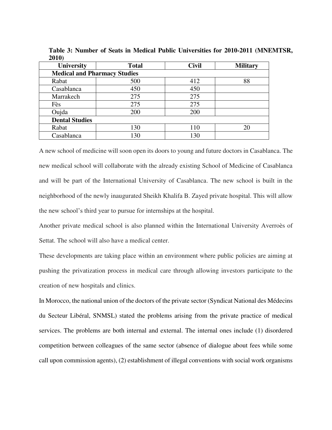| <b>University</b>                   | <b>Total</b> | <b>Civil</b> | <b>Military</b> |  |  |  |  |
|-------------------------------------|--------------|--------------|-----------------|--|--|--|--|
| <b>Medical and Pharmacy Studies</b> |              |              |                 |  |  |  |  |
| Rabat                               | 500          | 412          | 88              |  |  |  |  |
| Casablanca                          | 450          | 450          |                 |  |  |  |  |
| Marrakech                           | 275          | 275          |                 |  |  |  |  |
| Fès                                 | 275          | 275          |                 |  |  |  |  |
| Oujda                               | 200          | 200          |                 |  |  |  |  |
| <b>Dental Studies</b>               |              |              |                 |  |  |  |  |
| Rabat                               | 130          | 110          | 20              |  |  |  |  |
| Casablanca                          | 130          | 130          |                 |  |  |  |  |

**Table 3: Number of Seats in Medical Public Universities for 2010-2011 (MNEMTSR, 2010)** 

A new school of medicine will soon open its doors to young and future doctors in Casablanca. The new medical school will collaborate with the already existing School of Medicine of Casablanca and will be part of the International University of Casablanca. The new school is built in the neighborhood of the newly inaugurated Sheikh Khalifa B. Zayed private hospital. This will allow the new school's third year to pursue for internships at the hospital.

Another private medical school is also planned within the International University Averroès of Settat. The school will also have a medical center.

These developments are taking place within an environment where public policies are aiming at pushing the privatization process in medical care through allowing investors participate to the creation of new hospitals and clinics.

In Morocco, the national union of the doctors of the private sector (Syndicat National des Médecins du Secteur Libéral, SNMSL) stated the problems arising from the private practice of medical services. The problems are both internal and external. The internal ones include (1) disordered competition between colleagues of the same sector (absence of dialogue about fees while some call upon commission agents), (2) establishment of illegal conventions with social work organisms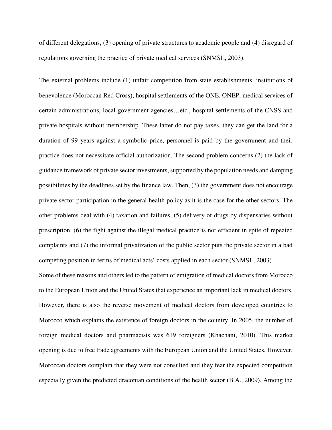of different delegations, (3) opening of private structures to academic people and (4) disregard of regulations governing the practice of private medical services (SNMSL, 2003).

The external problems include (1) unfair competition from state establishments, institutions of benevolence (Moroccan Red Cross), hospital settlements of the ONE, ONEP, medical services of certain administrations, local government agencies…etc., hospital settlements of the CNSS and private hospitals without membership. These latter do not pay taxes, they can get the land for a duration of 99 years against a symbolic price, personnel is paid by the government and their practice does not necessitate official authorization. The second problem concerns (2) the lack of guidance framework of private sector investments, supported by the population needs and damping possibilities by the deadlines set by the finance law. Then, (3) the government does not encourage private sector participation in the general health policy as it is the case for the other sectors. The other problems deal with (4) taxation and failures, (5) delivery of drugs by dispensaries without prescription, (6) the fight against the illegal medical practice is not efficient in spite of repeated complaints and (7) the informal privatization of the public sector puts the private sector in a bad competing position in terms of medical acts' costs applied in each sector (SNMSL, 2003).

Some of these reasons and others led to the pattern of emigration of medical doctors from Morocco to the European Union and the United States that experience an important lack in medical doctors. However, there is also the reverse movement of medical doctors from developed countries to Morocco which explains the existence of foreign doctors in the country. In 2005, the number of foreign medical doctors and pharmacists was 619 foreigners (Khachani, 2010). This market opening is due to free trade agreements with the European Union and the United States. However, Moroccan doctors complain that they were not consulted and they fear the expected competition especially given the predicted draconian conditions of the health sector (B.A., 2009). Among the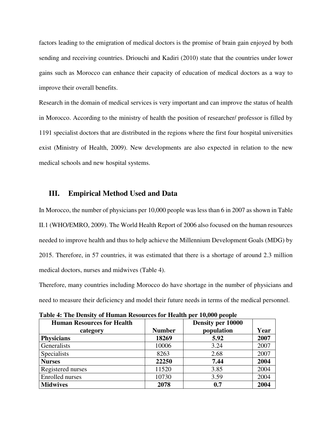factors leading to the emigration of medical doctors is the promise of brain gain enjoyed by both sending and receiving countries. Driouchi and Kadiri (2010) state that the countries under lower gains such as Morocco can enhance their capacity of education of medical doctors as a way to improve their overall benefits.

Research in the domain of medical services is very important and can improve the status of health in Morocco. According to the ministry of health the position of researcher/ professor is filled by 1191 specialist doctors that are distributed in the regions where the first four hospital universities exist (Ministry of Health, 2009). New developments are also expected in relation to the new medical schools and new hospital systems.

#### **III. Empirical Method Used and Data**

In Morocco, the number of physicians per 10,000 people was less than 6 in 2007 as shown in Table II.1 (WHO/EMRO, 2009). The World Health Report of 2006 also focused on the human resources needed to improve health and thus to help achieve the Millennium Development Goals (MDG) by 2015. Therefore, in 57 countries, it was estimated that there is a shortage of around 2.3 million medical doctors, nurses and midwives (Table 4).

Therefore, many countries including Morocco do have shortage in the number of physicians and need to measure their deficiency and model their future needs in terms of the medical personnel.

| <b>Human Resources for Health</b> |               | Density per 10000 |      |
|-----------------------------------|---------------|-------------------|------|
| category                          | <b>Number</b> | population        | Year |
| <b>Physicians</b>                 | 18269         | 5.92              | 2007 |
| Generalists                       | 10006         | 3.24              | 2007 |
| Specialists                       | 8263          | 2.68              | 2007 |
| <b>Nurses</b>                     | 22250         | 7.44              | 2004 |
| Registered nurses                 | 11520         | 3.85              | 2004 |
| <b>Enrolled</b> nurses            | 10730         | 3.59              | 2004 |
| <b>Midwives</b>                   | 2078          | 0.7               | 2004 |

**Table 4: The Density of Human Resources for Health per 10,000 people**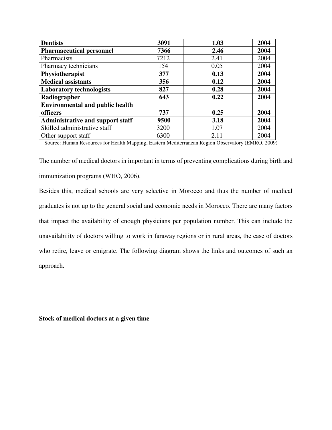| <b>Dentists</b>                         | 3091 | 1.03 | 2004 |
|-----------------------------------------|------|------|------|
| <b>Pharmaceutical personnel</b>         | 7366 | 2.46 | 2004 |
| Pharmacists                             | 7212 | 2.41 | 2004 |
| Pharmacy technicians                    | 154  | 0.05 | 2004 |
| Physiotherapist                         | 377  | 0.13 | 2004 |
| <b>Medical assistants</b>               | 356  | 0.12 | 2004 |
| <b>Laboratory technologists</b>         | 827  | 0.28 | 2004 |
| Radiographer                            | 643  | 0.22 | 2004 |
| <b>Environmental and public health</b>  |      |      |      |
| officers                                | 737  | 0.25 | 2004 |
| <b>Administrative and support staff</b> | 9500 | 3.18 | 2004 |
| Skilled administrative staff            | 3200 | 1.07 | 2004 |
| Other support staff                     | 6300 | 2.11 | 2004 |

Source: Human Resources for Health Mapping, Eastern Mediterranean Region Observatory (EMRO, 2009)

The number of medical doctors in important in terms of preventing complications during birth and immunization programs (WHO, 2006).

Besides this, medical schools are very selective in Morocco and thus the number of medical graduates is not up to the general social and economic needs in Morocco. There are many factors that impact the availability of enough physicians per population number. This can include the unavailability of doctors willing to work in faraway regions or in rural areas, the case of doctors who retire, leave or emigrate. The following diagram shows the links and outcomes of such an approach.

**Stock of medical doctors at a given time**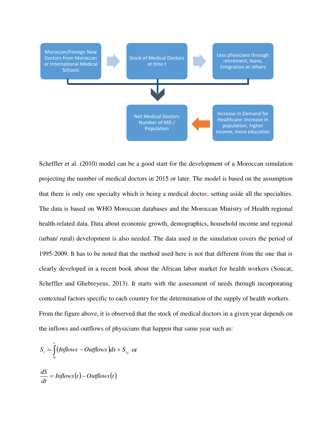

Scheffler et al. (2010) model can be a good start for the development of a Moroccan simulation projecting the number of medical doctors in 2015 or later. The model is based on the assumption that there is only one specialty which is being a medical doctor, setting aside all the specialties. The data is based on WHO Moroccan databases and the Moroccan Ministry of Health regional health-related data. Data about economic growth, demographics, household income and regional (urban/ rural) development is also needed. The data used in the simulation covers the period of 1995-2009. It has to be noted that the method used here is not that different from the one that is clearly developed in a recent book about the African labor market for health workers (Soucat, Scheffler and Ghebreyeus, 2013). It starts with the assessment of needs through incorporating contextual factors specific to each country for the determination of the supply of health workers. From the figure above, it is observed that the stock of medical doctors in a given year depends on the inflows and outflows of physicians that happen that same year such as:

$$
S_t = \int_0^t (Inflows - Outflows) ds + S_{t_0} \text{ or }
$$

$$
\frac{dS}{dt} = Inflows(t) - Outflows(t)
$$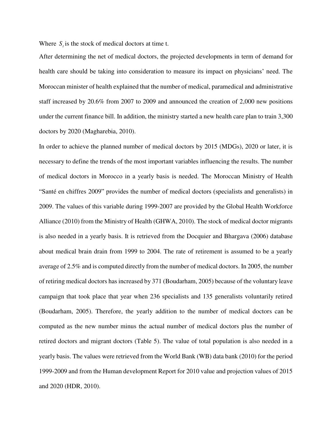Where  $S_i$  is the stock of medical doctors at time t.

After determining the net of medical doctors, the projected developments in term of demand for health care should be taking into consideration to measure its impact on physicians' need. The Moroccan minister of health explained that the number of medical, paramedical and administrative staff increased by 20.6% from 2007 to 2009 and announced the creation of 2,000 new positions under the current finance bill. In addition, the ministry started a new health care plan to train 3,300 doctors by 2020 (Magharebia, 2010).

In order to achieve the planned number of medical doctors by 2015 (MDGs), 2020 or later, it is necessary to define the trends of the most important variables influencing the results. The number of medical doctors in Morocco in a yearly basis is needed. The Moroccan Ministry of Health "[Santé en chiffres 2009](http://srvweb.sante.gov.ma/Publications/Etudes_enquete/Documents/SANTE_ENCHIFFRES_2009,%20EDITION%202010.pdf)" provides the number of medical doctors (specialists and generalists) in 2009. The values of this variable during 1999-2007 are provided by the Global Health Workforce Alliance (2010) from the Ministry of Health (GHWA, 2010). The stock of medical doctor migrants is also needed in a yearly basis. It is retrieved from the Docquier and Bhargava (2006) database about medical brain drain from 1999 to 2004. The rate of retirement is assumed to be a yearly average of 2.5% and is computed directly from the number of medical doctors. In 2005, the number of retiring medical doctors has increased by 371 (Boudarham, 2005) because of the voluntary leave campaign that took place that year when 236 specialists and 135 generalists voluntarily retired (Boudarham, 2005). Therefore, the yearly addition to the number of medical doctors can be computed as the new number minus the actual number of medical doctors plus the number of retired doctors and migrant doctors (Table 5). The value of total population is also needed in a yearly basis. The values were retrieved from the World Bank (WB) data bank (2010) for the period 1999-2009 and from the Human development Report for 2010 value and projection values of 2015 and 2020 (HDR, 2010).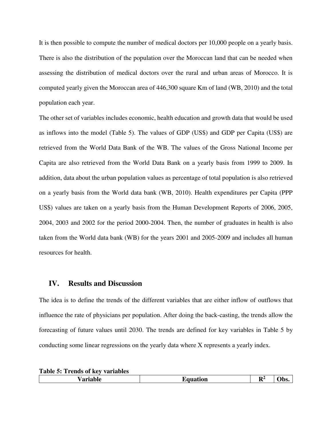It is then possible to compute the number of medical doctors per 10,000 people on a yearly basis. There is also the distribution of the population over the Moroccan land that can be needed when assessing the distribution of medical doctors over the rural and urban areas of Morocco. It is computed yearly given the Moroccan area of 446,300 square Km of land (WB, 2010) and the total population each year.

The other set of variables includes economic, health education and growth data that would be used as inflows into the model (Table 5). The values of GDP (US\$) and GDP per Capita (US\$) are retrieved from the World Data Bank of the WB. The values of the Gross National Income per Capita are also retrieved from the World Data Bank on a yearly basis from 1999 to 2009. In addition, data about the urban population values as percentage of total population is also retrieved on a yearly basis from the World data bank (WB, 2010). Health expenditures per Capita (PPP US\$) values are taken on a yearly basis from the Human Development Reports of 2006, 2005, 2004, 2003 and 2002 for the period 2000-2004. Then, the number of graduates in health is also taken from the World data bank (WB) for the years 2001 and 2005-2009 and includes all human resources for health.

#### **IV. Results and Discussion**

The idea is to define the trends of the different variables that are either inflow of outflows that influence the rate of physicians per population. After doing the back-casting, the trends allow the forecasting of future values until 2030. The trends are defined for key variables in Table 5 by conducting some linear regressions on the yearly data where X represents a yearly index.

| IJZ<br>w<br>TT.<br>u.<br>.<br>. |
|---------------------------------|
|---------------------------------|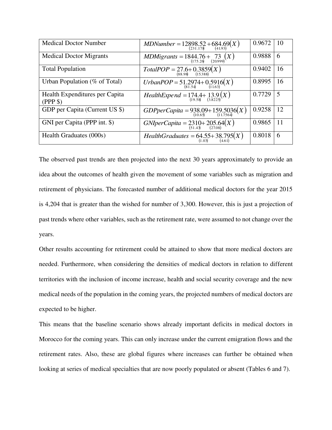| <b>Medical Doctor Number</b>              | MDNumber = $12898.52 + 684.69(X)$<br>(231.178)                 | 0.9672 | 10 |
|-------------------------------------------|----------------------------------------------------------------|--------|----|
| <b>Medical Doctor Migrants</b>            | MDMigrants = $1844.76 + 73 \n_{(175.26)} (X)$                  | 0.9888 | 6  |
| <b>Total Population</b>                   | $TotalPOP = 27.6 + 0.3859(X)$<br>(15.388)                      | 0.9402 | 16 |
| Urban Population (% of Total)             | UrbanPOP = $51.2974+0.5916(X)$<br>(81.54) $(11.63)$            | 0.8995 | 16 |
| Health Expenditures per Capita<br>(PPP\$) | HealthExpend = $174.4 + 13.9(X)$<br>(19.58) (3.8225)           | 0.7729 | 5  |
| GDP per Capita (Current US \$)            | GDPperCapita = $938.09+159.5036(X)$<br>(11.7564)               | 0.9258 | 12 |
| GNI per Capita (PPP int. \$)              | GNIperCapita = $2310+205.64(X)$<br>(51.43) $(27.08)$           | 0.9865 | 11 |
| Health Graduates (000s)                   | <i>HealthGraduates</i> = $64.55+38.795(X)$<br>(4.61)<br>(4.61) | 0.8018 | 6  |

The observed past trends are then projected into the next 30 years approximately to provide an idea about the outcomes of health given the movement of some variables such as migration and retirement of physicians. The forecasted number of additional medical doctors for the year 2015 is 4,204 that is greater than the wished for number of 3,300. However, this is just a projection of past trends where other variables, such as the retirement rate, were assumed to not change over the years.

Other results accounting for retirement could be attained to show that more medical doctors are needed. Furthermore, when considering the densities of medical doctors in relation to different territories with the inclusion of income increase, health and social security coverage and the new medical needs of the population in the coming years, the projected numbers of medical doctors are expected to be higher.

This means that the baseline scenario shows already important deficits in medical doctors in Morocco for the coming years. This can only increase under the current emigration flows and the retirement rates. Also, these are global figures where increases can further be obtained when looking at series of medical specialties that are now poorly populated or absent (Tables 6 and 7).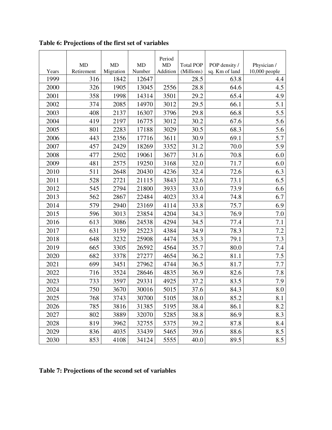|       |            |           |           | Period    |                  |                |               |
|-------|------------|-----------|-----------|-----------|------------------|----------------|---------------|
|       | <b>MD</b>  | <b>MD</b> | <b>MD</b> | <b>MD</b> | <b>Total POP</b> | POP density /  | Physician /   |
| Years | Retirement | Migration | Number    | Addition  | (Millions)       | sq. Km of land | 10,000 people |
| 1999  | 316        | 1842      | 12647     |           | 28.5             | 63.8           | 4.4           |
| 2000  | 326        | 1905      | 13045     | 2556      | 28.8             | 64.6           | 4.5           |
| 2001  | 358        | 1998      | 14314     | 3501      | 29.2             | 65.4           | 4.9           |
| 2002  | 374        | 2085      | 14970     | 3012      | 29.5             | 66.1           | 5.1           |
| 2003  | 408        | 2137      | 16307     | 3796      | 29.8             | 66.8           | 5.5           |
| 2004  | 419        | 2197      | 16775     | 3012      | 30.2             | 67.6           | 5.6           |
| 2005  | 801        | 2283      | 17188     | 3029      | 30.5             | 68.3           | 5.6           |
| 2006  | 443        | 2356      | 17716     | 3611      | 30.9             | 69.1           | 5.7           |
| 2007  | 457        | 2429      | 18269     | 3352      | 31.2             | 70.0           | 5.9           |
| 2008  | 477        | 2502      | 19061     | 3677      | 31.6             | 70.8           | 6.0           |
| 2009  | 481        | 2575      | 19250     | 3168      | 32.0             | 71.7           | 6.0           |
| 2010  | 511        | 2648      | 20430     | 4236      | 32.4             | 72.6           | 6.3           |
| 2011  | 528        | 2721      | 21115     | 3843      | 32.6             | 73.1           | 6.5           |
| 2012  | 545        | 2794      | 21800     | 3933      | 33.0             | 73.9           | 6.6           |
| 2013  | 562        | 2867      | 22484     | 4023      | 33.4             | 74.8           | 6.7           |
| 2014  | 579        | 2940      | 23169     | 4114      | 33.8             | 75.7           | 6.9           |
| 2015  | 596        | 3013      | 23854     | 4204      | 34.3             | 76.9           | 7.0           |
| 2016  | 613        | 3086      | 24538     | 4294      | 34.5             | 77.4           | 7.1           |
| 2017  | 631        | 3159      | 25223     | 4384      | 34.9             | 78.3           | 7.2           |
| 2018  | 648        | 3232      | 25908     | 4474      | 35.3             | 79.1           | 7.3           |
| 2019  | 665        | 3305      | 26592     | 4564      | 35.7             | 80.0           | 7.4           |
| 2020  | 682        | 3378      | 27277     | 4654      | 36.2             | 81.1           | 7.5           |
| 2021  | 699        | 3451      | 27962     | 4744      | 36.5             | 81.7           | 7.7           |
| 2022  | 716        | 3524      | 28646     | 4835      | 36.9             | 82.6           | 7.8           |
| 2023  | 733        | 3597      | 29331     | 4925      | 37.2             | 83.5           | 7.9           |
| 2024  | 750        | 3670      | 30016     | 5015      | 37.6             | 84.3           | $\rm 8.0$     |
| 2025  | 768        | 3743      | 30700     | 5105      | 38.0             | 85.2           | 8.1           |
| 2026  | 785        | 3816      | 31385     | 5195      | 38.4             | 86.1           | 8.2           |
| 2027  | 802        | 3889      | 32070     | 5285      | 38.8             | 86.9           | 8.3           |
| 2028  | 819        | 3962      | 32755     | 5375      | 39.2             | 87.8           | 8.4           |
| 2029  | 836        | 4035      | 33439     | 5465      | 39.6             | 88.6           | 8.5           |
| 2030  | 853        | 4108      | 34124     | 5555      | 40.0             | 89.5           | 8.5           |

**Table 6: Projections of the first set of variables** 

## **Table 7: Projections of the second set of variables**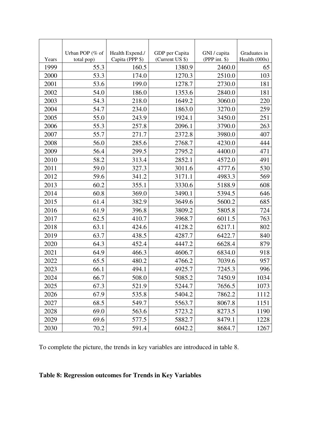|       | Urban POP (% of | Health Expend./ | GDP per Capita  | GNI / capita    | Graduates in  |
|-------|-----------------|-----------------|-----------------|-----------------|---------------|
| Years | total pop)      | Capita (PPP \$) | (Current US \$) | (PPP int. $$$ ) | Health (000s) |
| 1999  | 55.3            | 160.5           | 1380.9          | 2460.0          | 65            |
| 2000  | 53.3            | 174.0           | 1270.3          | 2510.0          | 103           |
| 2001  | 53.6            | 199.0           | 1278.7          | 2730.0          | 181           |
| 2002  | 54.0            | 186.0           | 1353.6          | 2840.0          | 181           |
| 2003  | 54.3            | 218.0           | 1649.2          | 3060.0          | 220           |
| 2004  | 54.7            | 234.0           | 1863.0          | 3270.0          | 259           |
| 2005  | 55.0            | 243.9           | 1924.1          | 3450.0          | 251           |
| 2006  | 55.3            | 257.8           | 2096.1          | 3790.0          | 263           |
| 2007  | 55.7            | 271.7           | 2372.8          | 3980.0          | 407           |
| 2008  | 56.0            | 285.6           | 2768.7          | 4230.0          | 444           |
| 2009  | 56.4            | 299.5           | 2795.2          | 4400.0          | 471           |
| 2010  | 58.2            | 313.4           | 2852.1          | 4572.0          | 491           |
| 2011  | 59.0            | 327.3           | 3011.6          | 4777.6          | 530           |
| 2012  | 59.6            | 341.2           | 3171.1          | 4983.3          | 569           |
| 2013  | 60.2            | 355.1           | 3330.6          | 5188.9          | 608           |
| 2014  | 60.8            | 369.0           | 3490.1          | 5394.5          | 646           |
| 2015  | 61.4            | 382.9           | 3649.6          | 5600.2          | 685           |
| 2016  | 61.9            | 396.8           | 3809.2          | 5805.8          | 724           |
| 2017  | 62.5            | 410.7           | 3968.7          | 6011.5          | 763           |
| 2018  | 63.1            | 424.6           | 4128.2          | 6217.1          | 802           |
| 2019  | 63.7            | 438.5           | 4287.7          | 6422.7          | 840           |
| 2020  | 64.3            | 452.4           | 4447.2          | 6628.4          | 879           |
| 2021  | 64.9            | 466.3           | 4606.7          | 6834.0          | 918           |
| 2022  | 65.5            | 480.2           | 4766.2          | 7039.6          | 957           |
| 2023  | 66.1            | 494.1           | 4925.7          | 7245.3          | 996           |
| 2024  | 66.7            | 508.0           | 5085.2          | 7450.9          | 1034          |
| 2025  | 67.3            | 521.9           | 5244.7          | 7656.5          | 1073          |
| 2026  | 67.9            | 535.8           | 5404.2          | 7862.2          | 1112          |
| 2027  | 68.5            | 549.7           | 5563.7          | 8067.8          | 1151          |
| 2028  | 69.0            | 563.6           | 5723.2          | 8273.5          | 1190          |
| 2029  | 69.6            | 577.5           | 5882.7          | 8479.1          | 1228          |
| 2030  | 70.2            | 591.4           | 6042.2          | 8684.7          | 1267          |

To complete the picture, the trends in key variables are introduced in table 8.

## **Table 8: Regression outcomes for Trends in Key Variables**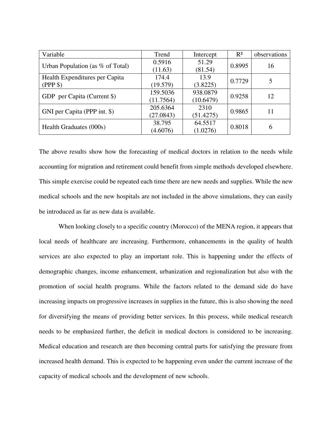| Variable                            | Trend     | Intercept | $R^2$  | observations |  |
|-------------------------------------|-----------|-----------|--------|--------------|--|
| Urban Population (as $\%$ of Total) | 0.5916    | 51.29     | 0.8995 | 16           |  |
|                                     | (11.63)   | (81.54)   |        |              |  |
| Health Expenditures per Capita      | 174.4     | 13.9      | 0.7729 | 5            |  |
| (PPP \$)                            | (19.579)  | (3.8225)  |        |              |  |
|                                     | 159.5036  | 938.0879  | 0.9258 | 12           |  |
| GDP per Capita (Current \$)         | (11.7564) | (10.6479) |        |              |  |
|                                     | 205.6364  | 2310      | 0.9865 |              |  |
| GNI per Capita (PPP int. \$)        | (27.0843) | (51.4275) |        | 11           |  |
|                                     | 38.795    | 64.5517   |        |              |  |
| Health Graduates (000s)             | (4.6076)  | (1.0276)  | 0.8018 | 6            |  |

The above results show how the forecasting of medical doctors in relation to the needs while accounting for migration and retirement could benefit from simple methods developed elsewhere. This simple exercise could be repeated each time there are new needs and supplies. While the new medical schools and the new hospitals are not included in the above simulations, they can easily be introduced as far as new data is available.

When looking closely to a specific country (Morocco) of the MENA region, it appears that local needs of healthcare are increasing. Furthermore, enhancements in the quality of health services are also expected to play an important role. This is happening under the effects of demographic changes, income enhancement, urbanization and regionalization but also with the promotion of social health programs. While the factors related to the demand side do have increasing impacts on progressive increases in supplies in the future, this is also showing the need for diversifying the means of providing better services. In this process, while medical research needs to be emphasized further, the deficit in medical doctors is considered to be increasing. Medical education and research are then becoming central parts for satisfying the pressure from increased health demand. This is expected to be happening even under the current increase of the capacity of medical schools and the development of new schools.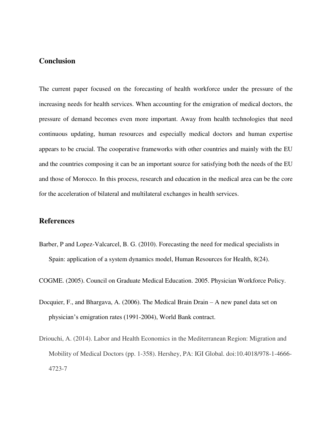## **Conclusion**

The current paper focused on the forecasting of health workforce under the pressure of the increasing needs for health services. When accounting for the emigration of medical doctors, the pressure of demand becomes even more important. Away from health technologies that need continuous updating, human resources and especially medical doctors and human expertise appears to be crucial. The cooperative frameworks with other countries and mainly with the EU and the countries composing it can be an important source for satisfying both the needs of the EU and those of Morocco. In this process, research and education in the medical area can be the core for the acceleration of bilateral and multilateral exchanges in health services.

#### **References**

- Barber, P and Lopez-Valcarcel, B. G. (2010). Forecasting the need for medical specialists in Spain: application of a system dynamics model, Human Resources for Health, 8(24).
- COGME. (2005). Council on Graduate Medical Education. 2005. Physician Workforce Policy.
- Docquier, F., and Bhargava, A. (2006). The Medical Brain Drain A new panel data set on physician's emigration rates (1991-2004), World Bank contract.
- Driouchi, A. (2014). Labor and Health Economics in the Mediterranean Region: Migration and Mobility of Medical Doctors (pp. 1-358). Hershey, PA: IGI Global. doi:10.4018/978-1-4666- 4723-7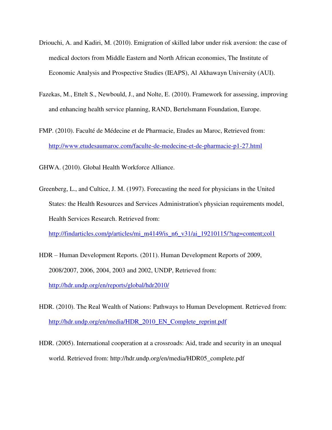- Driouchi, A. and Kadiri, M. (2010). Emigration of skilled labor under risk aversion: the case of medical doctors from Middle Eastern and North African economies, The Institute of Economic Analysis and Prospective Studies (IEAPS), Al Akhawayn University (AUI).
- Fazekas, M., Ettelt S., Newbould, J., and Nolte, E. (2010). Framework for assessing, improving and enhancing health service planning, RAND, Bertelsmann Foundation, Europe.
- FMP. (2010). Faculté de Médecine et de Pharmacie, Etudes au Maroc, Retrieved from: <http://www.etudesaumaroc.com/faculte-de-medecine-et-de-pharmacie-p1-27.html>

GHWA. (2010). Global Health Workforce Alliance.

Greenberg, L., and Cultice, J. M. (1997). Forecasting the need for physicians in the United States: the Health Resources and Services Administration's physician requirements model, Health Services Research. Retrieved from:

http://findarticles.com/p/articles/mi\_m4149/is\_n6\_v31/ai\_19210115/?tag=content:col1

- HDR Human Development Reports. (2011). Human Development Reports of 2009, 2008/2007, 2006, 2004, 2003 and 2002, UNDP, Retrieved from: <http://hdr.undp.org/en/reports/global/hdr2010/>
- HDR. (2010). The Real Wealth of Nations: Pathways to Human Development. Retrieved from: [http://hdr.undp.org/en/media/HDR\\_2010\\_EN\\_Complete\\_reprint.pdf](http://hdr.undp.org/en/media/HDR_2010_EN_Complete_reprint.pdf)
- HDR. (2005). International cooperation at a crossroads: Aid, trade and security in an unequal world. Retrieved from: [http://hdr.undp.org/en/media/HDR05\\_complete.pdf](http://hdr.undp.org/en/media/HDR05_complete.pdf)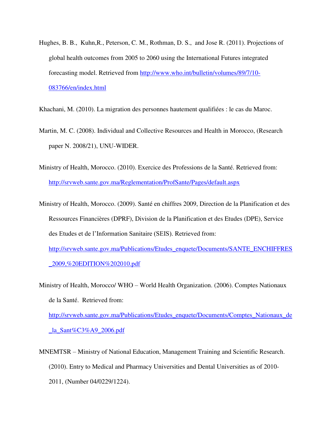Hughes, B. B., Kuhn,R., Peterson, C. M., Rothman, D. S., and Jose R. (2011). Projections of global health outcomes from 2005 to 2060 using the International Futures integrated forecasting model. Retrieved from [http://www.who.int/bulletin/volumes/89/7/10-](http://www.who.int/bulletin/volumes/89/7/10-083766/en/index.html) [083766/en/index.html](http://www.who.int/bulletin/volumes/89/7/10-083766/en/index.html) 

Khachani, M. (2010). La migration des personnes hautement qualifiées : le cas du Maroc.

- Martin, M. C. (2008). Individual and Collective Resources and Health in Morocco, (Research paper N. 2008/21), UNU-WIDER.
- Ministry of Health, Morocco. (2010). Exercice des Professions de la Santé. Retrieved from: <http://srvweb.sante.gov.ma/Reglementation/ProfSante/Pages/default.aspx>
- Ministry of Health, Morocco. (2009). Santé en chiffres 2009, Direction de la Planification et des Ressources Financières (DPRF), Division de la Planification et des Etudes (DPE), Service des Etudes et de l'Information Sanitaire (SEIS). Retrieved from:

[http://srvweb.sante.gov.ma/Publications/Etudes\\_enquete/Documents/SANTE\\_ENCHIFFRES](http://srvweb.sante.gov.ma/Publications/Etudes_enquete/Documents/SANTE_ENCHIFFRES_2009,%20EDITION%202010.pdf) [\\_2009,%20EDITION%202010.pdf](http://srvweb.sante.gov.ma/Publications/Etudes_enquete/Documents/SANTE_ENCHIFFRES_2009,%20EDITION%202010.pdf) 

Ministry of Health, Morocco/ WHO – World Health Organization. (2006). Comptes Nationaux de la Santé. Retrieved from:

http://sryweb.sante.gov.ma/Publications/Etudes\_enquete/Documents/Comptes\_Nationaux\_de [\\_la\\_Sant%C3%A9\\_2006.pdf](http://srvweb.sante.gov.ma/Publications/Etudes_enquete/Documents/Comptes_Nationaux_de_la_Sant%C3%A9_2006.pdf) 

MNEMTSR – Ministry of National Education, Management Training and Scientific Research. (2010). Entry to Medical and Pharmacy Universities and Dental Universities as of 2010- 2011, (Number 04/0229/1224).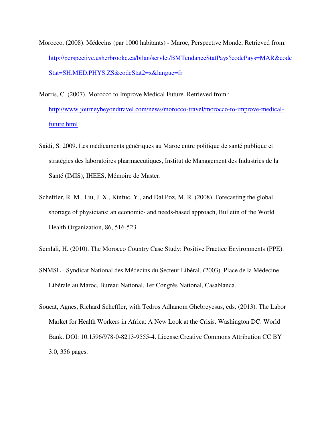- Morocco. (2008). Médecins (par 1000 habitants) Maroc, Perspective Monde, Retrieved from: [http://perspective.usherbrooke.ca/bilan/servlet/BMTendanceStatPays?codePays=MAR&code](http://perspective.usherbrooke.ca/bilan/servlet/BMTendanceStatPays?codePays=MAR&codeStat=SH.MED.PHYS.ZS&codeStat2=x&langue=fr) [Stat=SH.MED.PHYS.ZS&codeStat2=x&langue=fr](http://perspective.usherbrooke.ca/bilan/servlet/BMTendanceStatPays?codePays=MAR&codeStat=SH.MED.PHYS.ZS&codeStat2=x&langue=fr)
- Morris, C. (2007). Morocco to Improve Medical Future. Retrieved from : http://www.journeybeyondtravel.com/news/morocco-travel/morocco-to-improve-medicalfuture.html
- Saidi, S. 2009. Les médicaments génériques au Maroc entre politique de santé publique et stratégies des laboratoires pharmaceutiques, Institut de Management des Industries de la Santé (IMIS), IHEES, Mémoire de Master.
- Scheffler, R. M., Liu, J. X., Kinfuc, Y., and Dal Poz, M. R. (2008). Forecasting the global shortage of physicians: an economic- and needs-based approach, Bulletin of the World Health Organization, 86, 516-523.
- Semlali, H. (2010). The Morocco Country Case Study: Positive Practice Environments (PPE).
- SNMSL Syndicat National des Médecins du Secteur Libéral. (2003). Place de la Médecine Libérale au Maroc, Bureau National, 1er Congrès National, Casablanca.
- Soucat, Agnes, Richard Scheffler, with Tedros Adhanom Ghebreyesus, eds. (2013). The Labor Market for Health Workers in Africa: A New Look at the Crisis. Washington DC: World Bank. DOI: 10.1596/978-0-8213-9555-4. License:Creative Commons Attribution CC BY 3.0, 356 pages.